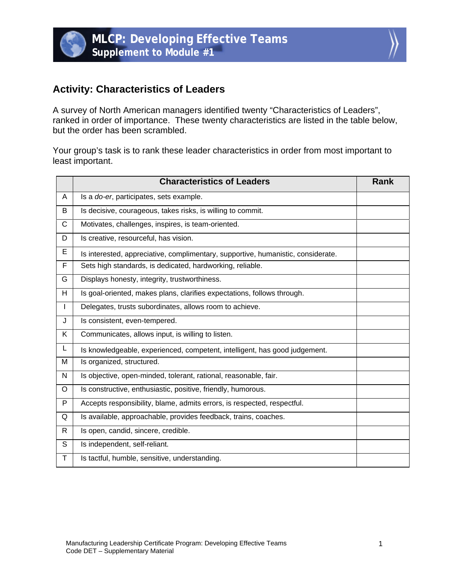



## **Activity: Characteristics of Leaders**

A survey of North American managers identified twenty "Characteristics of Leaders", ranked in order of importance. These twenty characteristics are listed in the table below, but the order has been scrambled.

Your group's task is to rank these leader characteristics in order from most important to least important.

|              | <b>Characteristics of Leaders</b>                                                | Rank |
|--------------|----------------------------------------------------------------------------------|------|
| A            | Is a do-er, participates, sets example.                                          |      |
| B            | Is decisive, courageous, takes risks, is willing to commit.                      |      |
| $\mathsf{C}$ | Motivates, challenges, inspires, is team-oriented.                               |      |
| D            | Is creative, resourceful, has vision.                                            |      |
| E            | Is interested, appreciative, complimentary, supportive, humanistic, considerate. |      |
| F            | Sets high standards, is dedicated, hardworking, reliable.                        |      |
| G            | Displays honesty, integrity, trustworthiness.                                    |      |
| H            | Is goal-oriented, makes plans, clarifies expectations, follows through.          |      |
| $\mathbf{I}$ | Delegates, trusts subordinates, allows room to achieve.                          |      |
| J            | Is consistent, even-tempered.                                                    |      |
| K            | Communicates, allows input, is willing to listen.                                |      |
| L.           | Is knowledgeable, experienced, competent, intelligent, has good judgement.       |      |
| M            | Is organized, structured.                                                        |      |
| N            | Is objective, open-minded, tolerant, rational, reasonable, fair.                 |      |
| O            | Is constructive, enthusiastic, positive, friendly, humorous.                     |      |
| P            | Accepts responsibility, blame, admits errors, is respected, respectful.          |      |
| Q            | Is available, approachable, provides feedback, trains, coaches.                  |      |
| $\mathsf{R}$ | Is open, candid, sincere, credible.                                              |      |
| S            | Is independent, self-reliant.                                                    |      |
| Τ            | Is tactful, humble, sensitive, understanding.                                    |      |